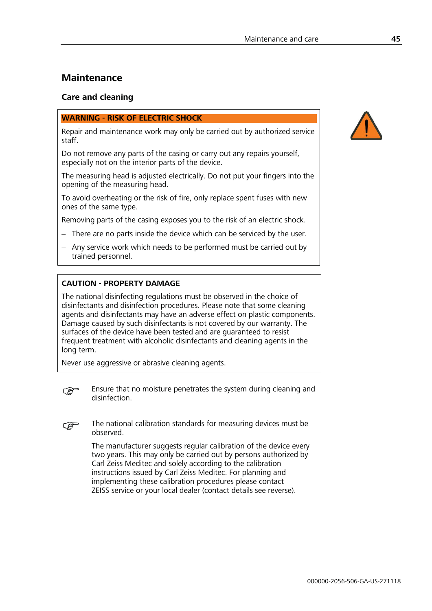# **Maintenance**

### **Care and cleaning**

### **WARNING - RISK OF ELECTRIC SHOCK**

Repair and maintenance work may only be carried out by authorized service staff.

Do not remove any parts of the casing or carry out any repairs yourself, especially not on the interior parts of the device.

The measuring head is adjusted electrically. Do not put your fingers into the opening of the measuring head.

To avoid overheating or the risk of fire, only replace spent fuses with new ones of the same type.

Removing parts of the casing exposes you to the risk of an electric shock.

- There are no parts inside the device which can be serviced by the user.
- Any service work which needs to be performed must be carried out by trained personnel.

### **CAUTION - PROPERTY DAMAGE**

The national disinfecting regulations must be observed in the choice of disinfectants and disinfection procedures. Please note that some cleaning agents and disinfectants may have an adverse effect on plastic components. Damage caused by such disinfectants is not covered by our warranty. The surfaces of the device have been tested and are guaranteed to resist frequent treatment with alcoholic disinfectants and cleaning agents in the long term.

Never use aggressive or abrasive cleaning agents.



) Ensure that no moisture penetrates the system during cleaning and disinfection.

) The national calibration standards for measuring devices must be observed.

The manufacturer suggests regular calibration of the device every two years. This may only be carried out by persons authorized by Carl Zeiss Meditec and solely according to the calibration instructions issued by Carl Zeiss Meditec. For planning and implementing these calibration procedures please contact ZEISS service or your local dealer (contact details see reverse).

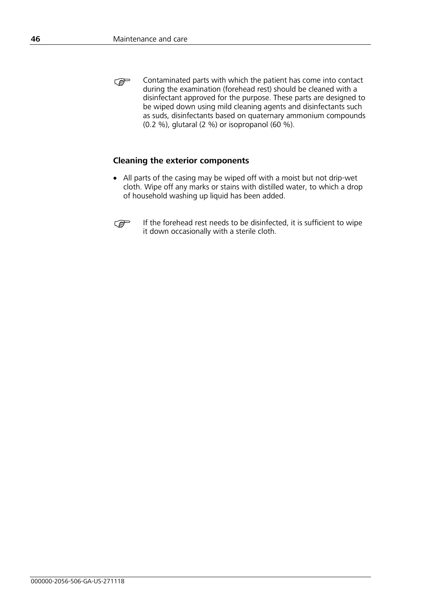) Contaminated parts with which the patient has come into contact during the examination (forehead rest) should be cleaned with a disinfectant approved for the purpose. These parts are designed to be wiped down using mild cleaning agents and disinfectants such as suds, disinfectants based on quaternary ammonium compounds (0.2 %), glutaral (2 %) or isopropanol (60 %).

### **Cleaning the exterior components**

• All parts of the casing may be wiped off with a moist but not drip-wet cloth. Wipe off any marks or stains with distilled water, to which a drop of household washing up liquid has been added.



) If the forehead rest needs to be disinfected, it is sufficient to wipe it down occasionally with a sterile cloth.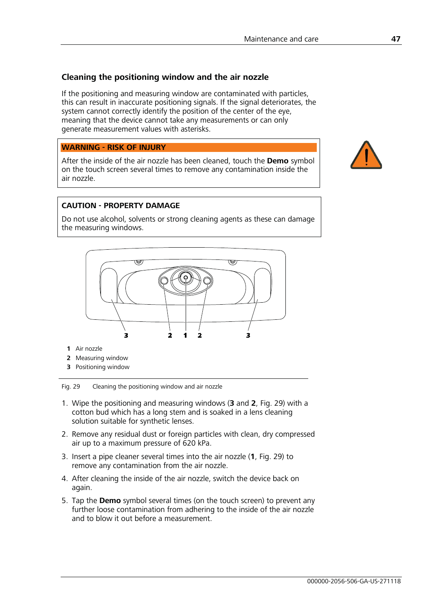## **Cleaning the positioning window and the air nozzle**

If the positioning and measuring window are contaminated with particles, this can result in inaccurate positioning signals. If the signal deteriorates, the system cannot correctly identify the position of the center of the eye, meaning that the device cannot take any measurements or can only generate measurement values with asterisks.

**WARNING - RISK OF INJURY** 

After the inside of the air nozzle has been cleaned, touch the **Demo** symbol on the touch screen several times to remove any contamination inside the air nozzle.

## **CAUTION - PROPERTY DAMAGE**

Do not use alcohol, solvents or strong cleaning agents as these can damage the measuring windows.



- **1** Air nozzle
- **2** Measuring window
- **3** Positioning window

Fig. 29 Cleaning the positioning window and air nozzle

- 1. Wipe the positioning and measuring windows (**3** and **2**, Fig. 29) with a cotton bud which has a long stem and is soaked in a lens cleaning solution suitable for synthetic lenses.
- 2. Remove any residual dust or foreign particles with clean, dry compressed air up to a maximum pressure of 620 kPa.
- 3. Insert a pipe cleaner several times into the air nozzle (**1**, Fig. 29) to remove any contamination from the air nozzle.
- 4. After cleaning the inside of the air nozzle, switch the device back on again.
- 5. Tap the **Demo** symbol several times (on the touch screen) to prevent any further loose contamination from adhering to the inside of the air nozzle and to blow it out before a measurement.

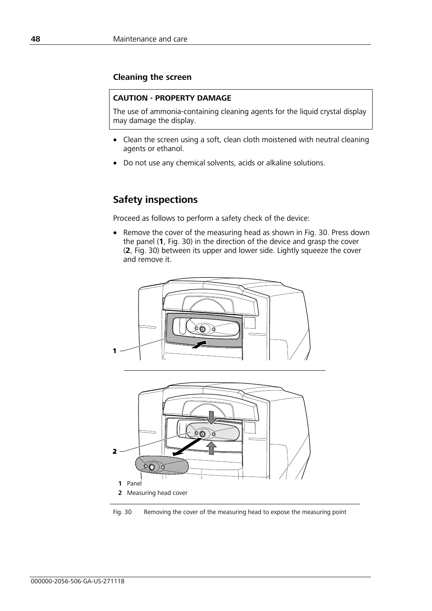### **Cleaning the screen**

#### **CAUTION - PROPERTY DAMAGE**

The use of ammonia-containing cleaning agents for the liquid crystal display may damage the display.

- Clean the screen using a soft, clean cloth moistened with neutral cleaning agents or ethanol.
- Do not use any chemical solvents, acids or alkaline solutions.

## **Safety inspections**

Proceed as follows to perform a safety check of the device:

• Remove the cover of the measuring head as shown in Fig. 30. Press down the panel (**1**, Fig. 30) in the direction of the device and grasp the cover (**2**, Fig. 30) between its upper and lower side. Lightly squeeze the cover and remove it.





Fig. 30 Removing the cover of the measuring head to expose the measuring point